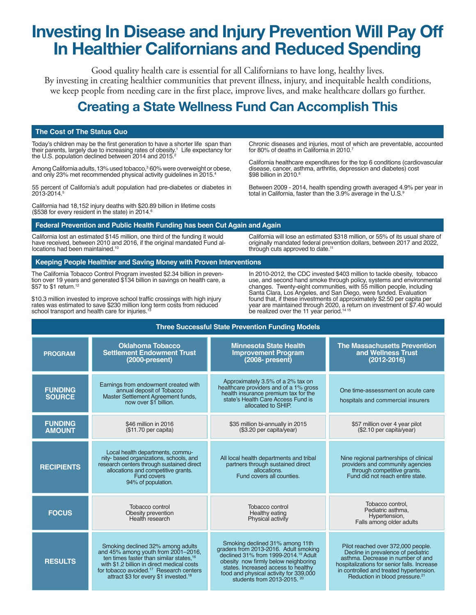## **Investing In Disease and Injury Prevention Will Pay Of In Healthier Californians and Reduced Spending**

Good quality health care is essential for all Californians to have long, healthy lives. By investing in creating healthier communities that prevent illness, injury, and inequitable health conditions, we keep people from needing care in the frst place, improve lives, and make healthcare dollars go further.

## **Creating a State Wellness Fund Can Accomplish This**

#### **The Cost of The Status Quo**

Today's children may be the first generation to have a shorter life span than their parents, largely due to increasing rates of obesity.<sup>1</sup> Life expectancy for<br>the U.S. population declined between 2014 and 2015.<sup>2</sup>

Among California adults, 13% used tobacco,<sup>3</sup> 60% were overweight or obese, and only 23% met recommended physical activity guidelines in 2015.4

55 percent of California's adult population had pre-diabetes or diabetes in 2013-2014.5

California had 18,152 injury deaths with \$20.89 billion in lifetime costs (\$538 for every resident in the state) in 2014. $6$ 

Chronic diseases and injuries, most of which are preventable, accounted for 80% of deaths in California in 2010.<sup>7</sup>

California healthcare expenditures for the top 6 conditions (cardiovascular disease, cancer, asthma, arthritis, depression and diabetes) cost \$98 billion in 2010.8

Between 2009 - 2014, health spending growth averaged 4.9% per year in total in California, faster than the 3.9% average in the U.S.<sup>9</sup>

#### **Federal Prevention and Public Health Funding has been Cut Again and Again**

California lost an estimated \$145 million, one third of the funding it would have received, between 2010 and 2016, if the original mandated Fund al-<br>locations had been maintained.<sup>10</sup>

**Keeping People Healthier and Saving Money with Proven Interventions**

The California Tobacco Control Program invested \$2.34 billion in preven- tion over 19 years and generated \$134 billion in savings on health care, a \$57 to \$1 return.12

\$10.3 million invested to improve school traffic crossings with high injury rates was estimated to save \$230 million long term costs from reduced<br>school transport and health care for injuries.<sup>13</sup>

California will lose an estimated \$318 million, or 55% of its usual share of originally mandated federal prevention dollars, between 2017 and 2022, through cuts approved to date.<sup>11</sup>

In 2010-2012, the CDC invested \$403 million to tackle obesity, tobacco use, and second hand smoke through policy, systems and environmental changes. Twenty-eight communities, with 55 million people, including Santa Clara, Los Angeles, and San Diego, were funded. Evaluation found that, if these investments of approximately \$2.50 per capita per year are maintained through 2020, a return on investment of \$7.40 would be realized over the 11 year period.<sup>14 15</sup>

| <b>Three Successful State Prevention Funding Models</b> |                                                                                                                                                                                                                                                                                           |                                                                                                                                                                                                                                                                                                 |                                                                                                                                                                                                                                                       |
|---------------------------------------------------------|-------------------------------------------------------------------------------------------------------------------------------------------------------------------------------------------------------------------------------------------------------------------------------------------|-------------------------------------------------------------------------------------------------------------------------------------------------------------------------------------------------------------------------------------------------------------------------------------------------|-------------------------------------------------------------------------------------------------------------------------------------------------------------------------------------------------------------------------------------------------------|
| <b>PROGRAM</b>                                          | <b>Oklahoma Tobacco</b><br><b>Settlement Endowment Trust</b><br>$(2000-present)$                                                                                                                                                                                                          | <b>Minnesota State Health</b><br><b>Improvement Program</b><br>$(2008 - present)$                                                                                                                                                                                                               | <b>The Massachusetts Prevention</b><br>and Wellness Trust<br>$(2012 - 2016)$                                                                                                                                                                          |
| <b>FUNDING</b><br><b>SOURCE</b>                         | Earnings from endowment created with<br>annual deposit of Tobacco<br>Master Settlement Agreement funds,<br>now over \$1 billion.                                                                                                                                                          | Approximately 3.5% of a 2% tax on<br>healthcare providers and of a 1% gross<br>health insurance premium tax for the<br>state's Health Care Access Fund is<br>allocated to SHIP.                                                                                                                 | One time-assessment on acute care<br>hospitals and commercial insurers                                                                                                                                                                                |
| <b>FUNDING</b><br><b>AMOUNT</b>                         | \$46 million in 2016<br>(\$11.70 per capital)                                                                                                                                                                                                                                             | \$35 million bi-annually in 2015<br>(\$3.20 per capita/year)                                                                                                                                                                                                                                    | \$57 million over 4 year pilot<br>(\$2.10 per capita/year)                                                                                                                                                                                            |
| <b>RECIPIENTS</b>                                       | Local health departments, commu-<br>nity- based organizations, schools, and<br>research centers through sustained direct<br>allocations and competitive grants.<br><b>Fund covers</b><br>94% of population.                                                                               | All local health departments and tribal<br>partners through sustained direct<br>allocations.<br>Fund covers all counties.                                                                                                                                                                       | Nine regional partnerships of clinical<br>providers and community agencies<br>through competitive grants.<br>Fund did not reach entire state.                                                                                                         |
| <b>FOCUS</b>                                            | Tobacco control<br>Obesity prevention<br>Health research                                                                                                                                                                                                                                  | Tobacco control<br>Healthy eating<br>Physical activity                                                                                                                                                                                                                                          | Tobacco control,<br>Pediatric asthma,<br>Hypertension,<br>Falls among older adults                                                                                                                                                                    |
| <b>RESULTS</b>                                          | Smoking declined 32% among adults<br>and 45% among youth from 2001-2016,<br>ten times faster than similar states, <sup>16</sup><br>with \$1.2 billion in direct medical costs<br>for tobacco avoided. <sup>17</sup> Research centers<br>attract \$3 for every \$1 invested. <sup>18</sup> | Smoking declined 31% among 11th<br>graders from 2013-2016. Adult smoking<br>declined 31% from 1999-2014. <sup>19</sup> Adult<br>obesity now firmly below neighboring<br>states. Increased access to healthy<br>food and physical activity for 339,000<br>students from 2013-2015. <sup>20</sup> | Pilot reached over 372,000 people.<br>Decline in prevalence of pediatric<br>asthma. Decrease in number of and<br>hospitalizations for senior falls. Increase<br>in controlled and treated hypertension.<br>Reduction in blood pressure. <sup>21</sup> |